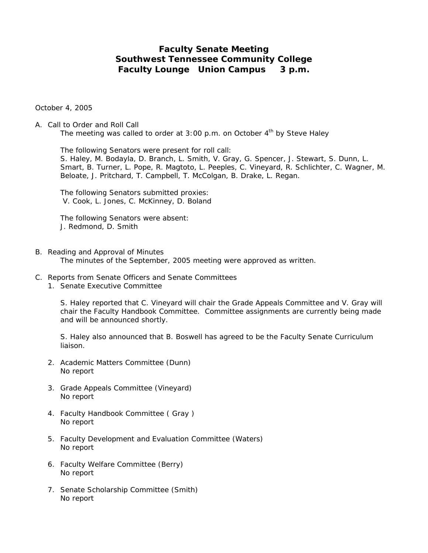# **Faculty Senate Meeting Southwest Tennessee Community College Faculty Lounge Union Campus 3 p.m.**

October 4, 2005

# A. Call to Order and Roll Call

The meeting was called to order at 3:00 p.m. on October  $4<sup>th</sup>$  by Steve Haley

 The following Senators were present for roll call: S. Haley, M. Bodayla, D. Branch, L. Smith, V. Gray, G. Spencer, J. Stewart, S. Dunn, L. Smart, B. Turner, L. Pope, R. Magtoto, L. Peeples, C. Vineyard, R. Schlichter, C. Wagner, M. Beloate, J. Pritchard, T. Campbell, T. McColgan, B. Drake, L. Regan.

 The following Senators submitted proxies: V. Cook, L. Jones, C. McKinney, D. Boland

 The following Senators were absent: J. Redmond, D. Smith

- B. Reading and Approval of Minutes The minutes of the September, 2005 meeting were approved as written.
- C. Reports from Senate Officers and Senate Committees
	- 1. Senate Executive Committee

S. Haley reported that C. Vineyard will chair the Grade Appeals Committee and V. Gray will chair the Faculty Handbook Committee. Committee assignments are currently being made and will be announced shortly.

S. Haley also announced that B. Boswell has agreed to be the Faculty Senate Curriculum liaison.

- 2. Academic Matters Committee (Dunn) No report
- 3. Grade Appeals Committee (Vineyard) No report
- 4. Faculty Handbook Committee ( Gray ) No report
- 5. Faculty Development and Evaluation Committee (Waters) No report
- 6. Faculty Welfare Committee (Berry) No report
- 7. Senate Scholarship Committee (Smith) No report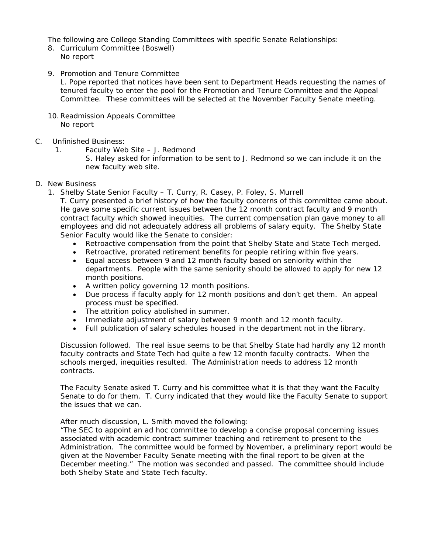The following are College Standing Committees with specific Senate Relationships:

- 8. Curriculum Committee (Boswell) No report
- 9. Promotion and Tenure Committee

L. Pope reported that notices have been sent to Department Heads requesting the names of tenured faculty to enter the pool for the Promotion and Tenure Committee and the Appeal Committee. These committees will be selected at the November Faculty Senate meeting.

- 10.Readmission Appeals Committee No report
- C. Unfinished Business:
	- 1. Faculty Web Site J. Redmond
		- S. Haley asked for information to be sent to J. Redmond so we can include it on the new faculty web site.
- D. New Business
	- 1. Shelby State Senior Faculty T. Curry, R. Casey, P. Foley, S. Murrell

T. Curry presented a brief history of how the faculty concerns of this committee came about. He gave some specific current issues between the 12 month contract faculty and 9 month contract faculty which showed inequities. The current compensation plan gave money to all employees and did not adequately address all problems of salary equity. The Shelby State Senior Faculty would like the Senate to consider:

- Retroactive compensation from the point that Shelby State and State Tech merged.
- Retroactive, prorated retirement benefits for people retiring within five years.
- Equal access between 9 and 12 month faculty based on seniority within the departments. People with the same seniority should be allowed to apply for new 12 month positions.
- A written policy governing 12 month positions.
- Due process if faculty apply for 12 month positions and don't get them. An appeal process must be specified.
- The attrition policy abolished in summer.
- Immediate adjustment of salary between 9 month and 12 month faculty.
- Full publication of salary schedules housed in the department not in the library.

Discussion followed. The real issue seems to be that Shelby State had hardly any 12 month faculty contracts and State Tech had quite a few 12 month faculty contracts. When the schools merged, inequities resulted. The Administration needs to address 12 month contracts.

The Faculty Senate asked T. Curry and his committee what it is that they want the Faculty Senate to do for them. T. Curry indicated that they would like the Faculty Senate to support the issues that we can.

After much discussion, L. Smith moved the following:

"The SEC to appoint an ad hoc committee to develop a concise proposal concerning issues associated with academic contract summer teaching and retirement to present to the Administration. The committee would be formed by November, a preliminary report would be given at the November Faculty Senate meeting with the final report to be given at the December meeting." The motion was seconded and passed. The committee should include both Shelby State and State Tech faculty.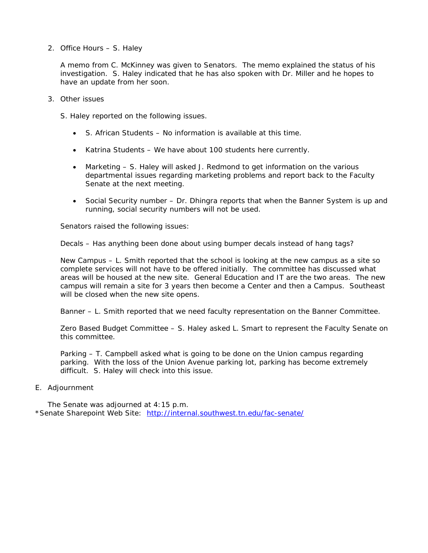2. Office Hours – S. Haley

A memo from C. McKinney was given to Senators. The memo explained the status of his investigation. S. Haley indicated that he has also spoken with Dr. Miller and he hopes to have an update from her soon.

- 3. Other issues
	- S. Haley reported on the following issues.
		- S. African Students No information is available at this time.
		- Katrina Students We have about 100 students here currently.
		- Marketing S. Haley will asked J. Redmond to get information on the various departmental issues regarding marketing problems and report back to the Faculty Senate at the next meeting.
		- Social Security number Dr. Dhingra reports that when the Banner System is up and running, social security numbers will not be used.

Senators raised the following issues:

Decals – Has anything been done about using bumper decals instead of hang tags?

New Campus – L. Smith reported that the school is looking at the new campus as a site so complete services will not have to be offered initially. The committee has discussed what areas will be housed at the new site. General Education and IT are the two areas. The new campus will remain a site for 3 years then become a Center and then a Campus. Southeast will be closed when the new site opens.

Banner – L. Smith reported that we need faculty representation on the Banner Committee.

Zero Based Budget Committee – S. Haley asked L. Smart to represent the Faculty Senate on this committee.

Parking – T. Campbell asked what is going to be done on the Union campus regarding parking. With the loss of the Union Avenue parking lot, parking has become extremely difficult. S. Haley will check into this issue.

E. Adjournment

The Senate was adjourned at 4:15 p.m. \*Senate Sharepoint Web Site: <http://internal.southwest.tn.edu/fac-senate/>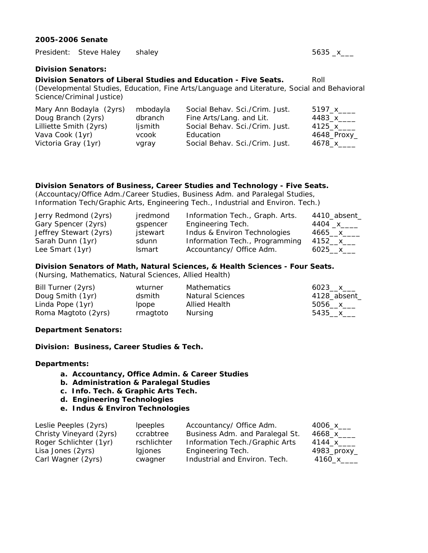### **2005-2006 Senate**

President: Steve Haley shaley 5635 \_x\_\_\_

**Division Senators:** 

# **Division Senators of Liberal Studies and Education - Five Seats.** Roll

(Developmental Studies, Education, Fine Arts/Language and Literature, Social and Behavioral Science/Criminal Justice)

| Mary Ann Bodayla (2yrs) | mbodayla | Social Behav. Sci./Crim. Just. | 5197 x      |
|-------------------------|----------|--------------------------------|-------------|
| Doug Branch (2yrs)      | dbranch  | Fine Arts/Lang. and Lit.       | 4483_x_____ |
| Lilliette Smith (2yrs)  | ljsmith  | Social Behav. Sci./Crim. Just. | 4125 x      |
| Vava Cook (1yr)         | vcook    | Education                      | 4648_Proxy_ |
| Victoria Gray (1yr)     | vgray    | Social Behav. Sci./Crim. Just. | 4678_x____  |

# **Division Senators of Business, Career Studies and Technology - Five Seats.**

(Accountacy/Office Adm./Career Studies, Business Adm. and Paralegal Studies, Information Tech/Graphic Arts, Engineering Tech., Industrial and Environ. Tech.)

| Jerry Redmond (2yrs)   | jredmond      | Information Tech., Graph. Arts. | 4410_absent_ |
|------------------------|---------------|---------------------------------|--------------|
| Gary Spencer (2yrs)    | gspencer      | Engineering Tech.               |              |
| Jeffrey Stewart (2yrs) | jstewart      | Indus & Environ Technologies    | 4665 x       |
| Sarah Dunn (1yr)       | sdunn         | Information Tech., Programming  | 4152__x___   |
| Lee Smart (1yr)        | <b>Ismart</b> | Accountancy/ Office Adm.        | $6025 - x$   |

# **Division Senators of Math, Natural Sciences, & Health Sciences - Four Seats.**

(Nursing, Mathematics, Natural Sciences, Allied Health)

| Bill Turner (2yrs)  | wturner  | <b>Mathematics</b>      | 6023 $x$     |
|---------------------|----------|-------------------------|--------------|
| Doug Smith (1yr)    | dsmith   | <b>Natural Sciences</b> | 4128_absent_ |
| Linda Pope (1yr)    | lpope    | Allied Health           | 5056 $x$     |
| Roma Magtoto (2yrs) | rmagtoto | Nursing                 | 5435__x___   |

#### **Department Senators:**

**Division: Business, Career Studies & Tech.** 

#### **Departments:**

- **a. Accountancy, Office Admin. & Career Studies**
- **b. Administration & Paralegal Studies**
- **c. Info. Tech. & Graphic Arts Tech.**
- **d. Engineering Technologies**
- **e. Indus & Environ Technologies**

| <i>lpeeples</i> |                                 | 4006_x___                |
|-----------------|---------------------------------|--------------------------|
| ccrabtree       | Business Adm. and Paralegal St. | 4668_x____               |
| rschlichter     | Information Tech./Graphic Arts  | 4144 x                   |
| Igjones         | Engineering Tech.               | $4983$ _proxy_           |
| cwagner         | Industrial and Environ. Tech.   | 4160_x____               |
|                 |                                 | Accountancy/ Office Adm. |